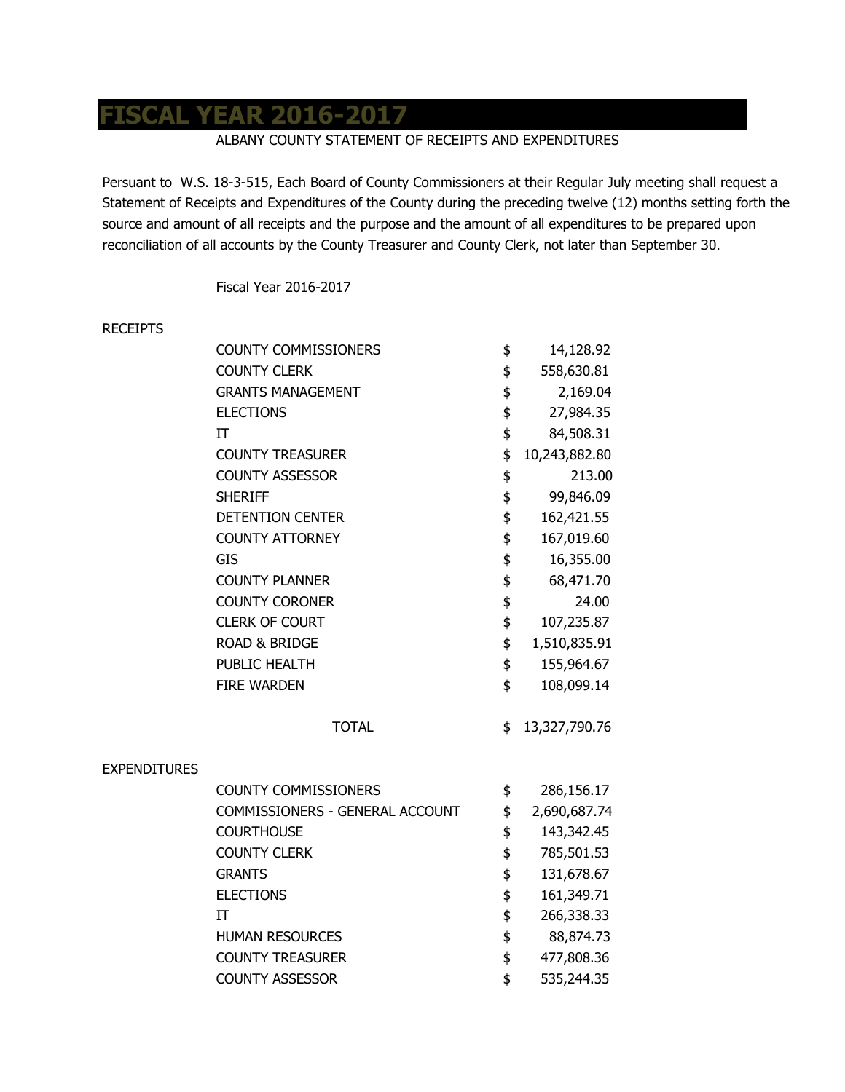## **FISCAL YEAR 2016-2017**

## ALBANY COUNTY STATEMENT OF RECEIPTS AND EXPENDITURES

Persuant to W.S. 18-3-515, Each Board of County Commissioners at their Regular July meeting shall request a Statement of Receipts and Expenditures of the County during the preceding twelve (12) months setting forth the source and amount of all receipts and the purpose and the amount of all expenditures to be prepared upon reconciliation of all accounts by the County Treasurer and County Clerk, not later than September 30.

Fiscal Year 2016-2017

## RECEIPTS

|                     | <b>COUNTY COMMISSIONERS</b>     | \$<br>14,128.92     |
|---------------------|---------------------------------|---------------------|
|                     | <b>COUNTY CLERK</b>             | \$<br>558,630.81    |
|                     | <b>GRANTS MANAGEMENT</b>        | \$<br>2,169.04      |
|                     | <b>ELECTIONS</b>                | \$<br>27,984.35     |
|                     | IT                              | \$<br>84,508.31     |
|                     | <b>COUNTY TREASURER</b>         | \$<br>10,243,882.80 |
|                     | <b>COUNTY ASSESSOR</b>          | \$<br>213.00        |
|                     | <b>SHERIFF</b>                  | \$<br>99,846.09     |
|                     | <b>DETENTION CENTER</b>         | \$<br>162,421.55    |
|                     | <b>COUNTY ATTORNEY</b>          | \$<br>167,019.60    |
|                     | <b>GIS</b>                      | \$<br>16,355.00     |
|                     | <b>COUNTY PLANNER</b>           | \$<br>68,471.70     |
|                     | <b>COUNTY CORONER</b>           | \$<br>24.00         |
|                     | <b>CLERK OF COURT</b>           | \$<br>107,235.87    |
|                     | <b>ROAD &amp; BRIDGE</b>        | \$<br>1,510,835.91  |
|                     | PUBLIC HEALTH                   | \$<br>155,964.67    |
|                     | <b>FIRE WARDEN</b>              | \$<br>108,099.14    |
|                     | <b>TOTAL</b>                    | \$<br>13,327,790.76 |
| <b>EXPENDITURES</b> |                                 |                     |
|                     | <b>COUNTY COMMISSIONERS</b>     | \$<br>286,156.17    |
|                     | COMMISSIONERS - GENERAL ACCOUNT | \$<br>2,690,687.74  |
|                     | <b>COURTHOUSE</b>               | \$<br>143,342.45    |
|                     | <b>COUNTY CLERK</b>             | \$<br>785,501.53    |
|                     | <b>GRANTS</b>                   | \$<br>131,678.67    |
|                     | <b>ELECTIONS</b>                | \$<br>161,349.71    |
|                     | IT                              | \$<br>266,338.33    |
|                     | <b>HUMAN RESOURCES</b>          | \$<br>88,874.73     |
|                     | <b>COUNTY TREASURER</b>         | \$<br>477,808.36    |
|                     | <b>COUNTY ASSESSOR</b>          | \$<br>535,244.35    |
|                     |                                 |                     |